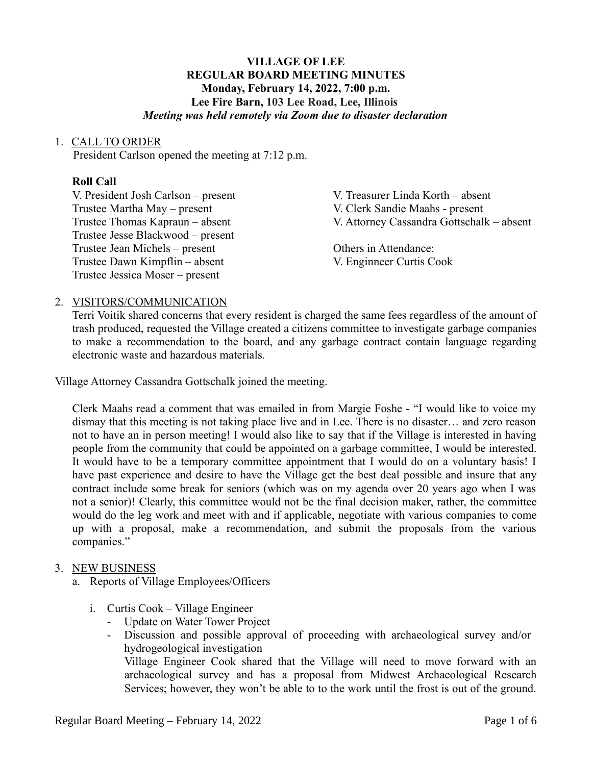## **VILLAGE OF LEE REGULAR BOARD MEETING MINUTES Monday, February 14, 2022, 7:00 p.m. Lee Fire Barn, 103 Lee Road, Lee, Illinois** *Meeting was held remotely via Zoom due to disaster declaration*

## 1. CALL TO ORDER

President Carlson opened the meeting at 7:12 p.m.

## **Roll Call**

V. President Josh Carlson – present V. Treasurer Linda Korth – absent Trustee Martha May – present V. Clerk Sandie Maahs - present Trustee Jesse Blackwood – present Trustee Jean Michels – present Others in Attendance: Trustee Dawn Kimpflin – absent V. Enginneer Curtis Cook Trustee Jessica Moser – present

Trustee Thomas Kapraun – absent V. Attorney Cassandra Gottschalk – absent

## 2. VISITORS/COMMUNICATION

Terri Voitik shared concerns that every resident is charged the same fees regardless of the amount of trash produced, requested the Village created a citizens committee to investigate garbage companies to make a recommendation to the board, and any garbage contract contain language regarding electronic waste and hazardous materials.

Village Attorney Cassandra Gottschalk joined the meeting.

Clerk Maahs read a comment that was emailed in from Margie Foshe - "I would like to voice my dismay that this meeting is not taking place live and in Lee. There is no disaster… and zero reason not to have an in person meeting! I would also like to say that if the Village is interested in having people from the community that could be appointed on a garbage committee, I would be interested. It would have to be a temporary committee appointment that I would do on a voluntary basis! I have past experience and desire to have the Village get the best deal possible and insure that any contract include some break for seniors (which was on my agenda over 20 years ago when I was not a senior)! Clearly, this committee would not be the final decision maker, rather, the committee would do the leg work and meet with and if applicable, negotiate with various companies to come up with a proposal, make a recommendation, and submit the proposals from the various companies."

## 3. NEW BUSINESS

- a. Reports of Village Employees/Officers
	- i. Curtis Cook Village Engineer
		- Update on Water Tower Project
		- Discussion and possible approval of proceeding with archaeological survey and/or hydrogeological investigation

Village Engineer Cook shared that the Village will need to move forward with an archaeological survey and has a proposal from Midwest Archaeological Research Services; however, they won't be able to to the work until the frost is out of the ground.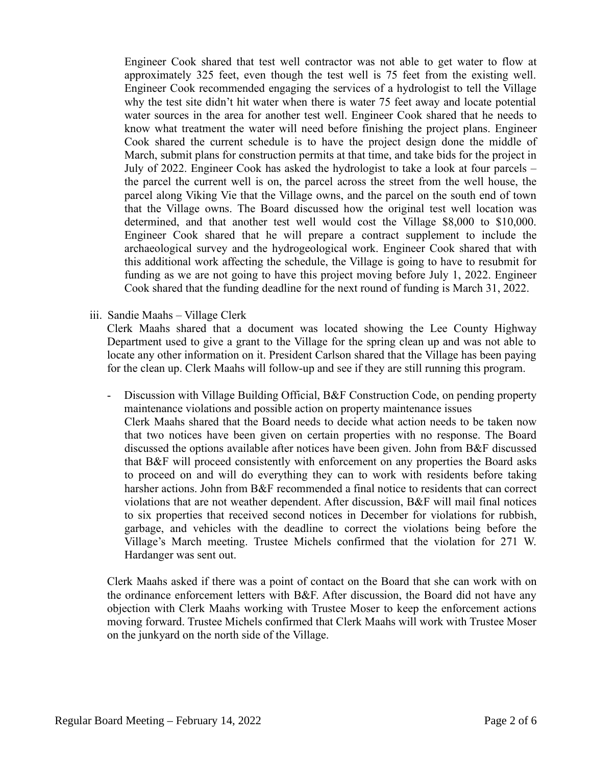Engineer Cook shared that test well contractor was not able to get water to flow at approximately 325 feet, even though the test well is 75 feet from the existing well. Engineer Cook recommended engaging the services of a hydrologist to tell the Village why the test site didn't hit water when there is water 75 feet away and locate potential water sources in the area for another test well. Engineer Cook shared that he needs to know what treatment the water will need before finishing the project plans. Engineer Cook shared the current schedule is to have the project design done the middle of March, submit plans for construction permits at that time, and take bids for the project in July of 2022. Engineer Cook has asked the hydrologist to take a look at four parcels – the parcel the current well is on, the parcel across the street from the well house, the parcel along Viking Vie that the Village owns, and the parcel on the south end of town that the Village owns. The Board discussed how the original test well location was determined, and that another test well would cost the Village \$8,000 to \$10,000. Engineer Cook shared that he will prepare a contract supplement to include the archaeological survey and the hydrogeological work. Engineer Cook shared that with this additional work affecting the schedule, the Village is going to have to resubmit for funding as we are not going to have this project moving before July 1, 2022. Engineer Cook shared that the funding deadline for the next round of funding is March 31, 2022.

iii. Sandie Maahs – Village Clerk

Clerk Maahs shared that a document was located showing the Lee County Highway Department used to give a grant to the Village for the spring clean up and was not able to locate any other information on it. President Carlson shared that the Village has been paying for the clean up. Clerk Maahs will follow-up and see if they are still running this program.

- Discussion with Village Building Official, B&F Construction Code, on pending property maintenance violations and possible action on property maintenance issues Clerk Maahs shared that the Board needs to decide what action needs to be taken now that two notices have been given on certain properties with no response. The Board discussed the options available after notices have been given. John from B&F discussed that B&F will proceed consistently with enforcement on any properties the Board asks to proceed on and will do everything they can to work with residents before taking harsher actions. John from B&F recommended a final notice to residents that can correct violations that are not weather dependent. After discussion, B&F will mail final notices to six properties that received second notices in December for violations for rubbish, garbage, and vehicles with the deadline to correct the violations being before the Village's March meeting. Trustee Michels confirmed that the violation for 271 W. Hardanger was sent out.

Clerk Maahs asked if there was a point of contact on the Board that she can work with on the ordinance enforcement letters with B&F. After discussion, the Board did not have any objection with Clerk Maahs working with Trustee Moser to keep the enforcement actions moving forward. Trustee Michels confirmed that Clerk Maahs will work with Trustee Moser on the junkyard on the north side of the Village.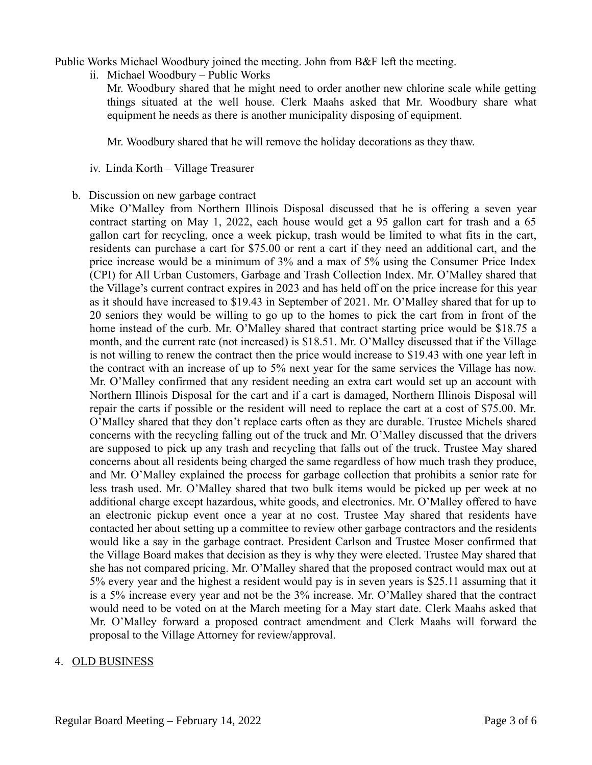Public Works Michael Woodbury joined the meeting. John from B&F left the meeting.

ii. Michael Woodbury – Public Works

Mr. Woodbury shared that he might need to order another new chlorine scale while getting things situated at the well house. Clerk Maahs asked that Mr. Woodbury share what equipment he needs as there is another municipality disposing of equipment.

Mr. Woodbury shared that he will remove the holiday decorations as they thaw.

- iv. Linda Korth Village Treasurer
- b. Discussion on new garbage contract

Mike O'Malley from Northern Illinois Disposal discussed that he is offering a seven year contract starting on May 1, 2022, each house would get a 95 gallon cart for trash and a 65 gallon cart for recycling, once a week pickup, trash would be limited to what fits in the cart, residents can purchase a cart for \$75.00 or rent a cart if they need an additional cart, and the price increase would be a minimum of 3% and a max of 5% using the Consumer Price Index (CPI) for All Urban Customers, Garbage and Trash Collection Index. Mr. O'Malley shared that the Village's current contract expires in 2023 and has held off on the price increase for this year as it should have increased to \$19.43 in September of 2021. Mr. O'Malley shared that for up to 20 seniors they would be willing to go up to the homes to pick the cart from in front of the home instead of the curb. Mr. O'Malley shared that contract starting price would be \$18.75 a month, and the current rate (not increased) is \$18.51. Mr. O'Malley discussed that if the Village is not willing to renew the contract then the price would increase to \$19.43 with one year left in the contract with an increase of up to 5% next year for the same services the Village has now. Mr. O'Malley confirmed that any resident needing an extra cart would set up an account with Northern Illinois Disposal for the cart and if a cart is damaged, Northern Illinois Disposal will repair the carts if possible or the resident will need to replace the cart at a cost of \$75.00. Mr. O'Malley shared that they don't replace carts often as they are durable. Trustee Michels shared concerns with the recycling falling out of the truck and Mr. O'Malley discussed that the drivers are supposed to pick up any trash and recycling that falls out of the truck. Trustee May shared concerns about all residents being charged the same regardless of how much trash they produce, and Mr. O'Malley explained the process for garbage collection that prohibits a senior rate for less trash used. Mr. O'Malley shared that two bulk items would be picked up per week at no additional charge except hazardous, white goods, and electronics. Mr. O'Malley offered to have an electronic pickup event once a year at no cost. Trustee May shared that residents have contacted her about setting up a committee to review other garbage contractors and the residents would like a say in the garbage contract. President Carlson and Trustee Moser confirmed that the Village Board makes that decision as they is why they were elected. Trustee May shared that she has not compared pricing. Mr. O'Malley shared that the proposed contract would max out at 5% every year and the highest a resident would pay is in seven years is \$25.11 assuming that it is a 5% increase every year and not be the 3% increase. Mr. O'Malley shared that the contract would need to be voted on at the March meeting for a May start date. Clerk Maahs asked that Mr. O'Malley forward a proposed contract amendment and Clerk Maahs will forward the proposal to the Village Attorney for review/approval.

## 4. OLD BUSINESS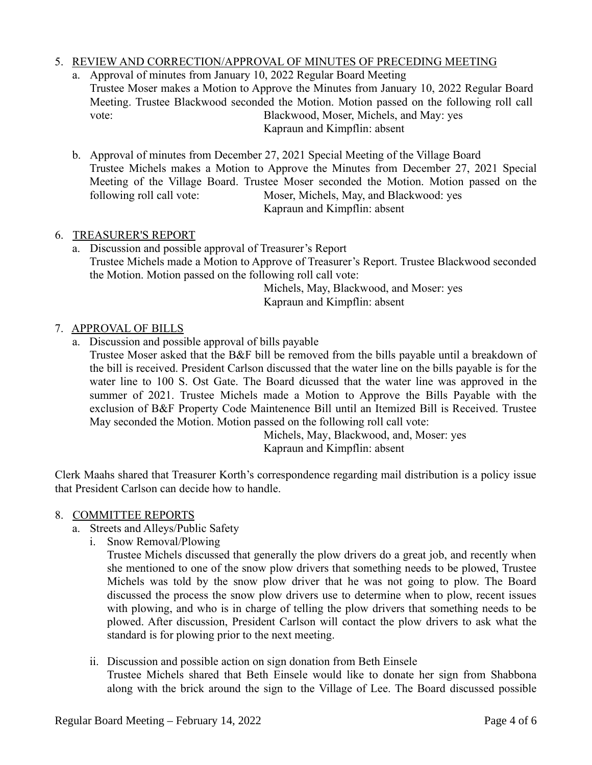## 5. REVIEW AND CORRECTION/APPROVAL OF MINUTES OF PRECEDING MEETING

- a. Approval of minutes from January 10, 2022 Regular Board Meeting Trustee Moser makes a Motion to Approve the Minutes from January 10, 2022 Regular Board Meeting. Trustee Blackwood seconded the Motion. Motion passed on the following roll call vote: Blackwood, Moser, Michels, and May: yes Kapraun and Kimpflin: absent
- b. Approval of minutes from December 27, 2021 Special Meeting of the Village Board Trustee Michels makes a Motion to Approve the Minutes from December 27, 2021 Special Meeting of the Village Board. Trustee Moser seconded the Motion. Motion passed on the following roll call vote: Moser, Michels, May, and Blackwood: yes Kapraun and Kimpflin: absent

## 6. TREASURER'S REPORT

a. Discussion and possible approval of Treasurer's Report Trustee Michels made a Motion to Approve of Treasurer's Report. Trustee Blackwood seconded the Motion. Motion passed on the following roll call vote:

Michels, May, Blackwood, and Moser: yes Kapraun and Kimpflin: absent

## 7. APPROVAL OF BILLS

a. Discussion and possible approval of bills payable

Trustee Moser asked that the B&F bill be removed from the bills payable until a breakdown of the bill is received. President Carlson discussed that the water line on the bills payable is for the water line to 100 S. Ost Gate. The Board dicussed that the water line was approved in the summer of 2021. Trustee Michels made a Motion to Approve the Bills Payable with the exclusion of B&F Property Code Maintenence Bill until an Itemized Bill is Received. Trustee May seconded the Motion. Motion passed on the following roll call vote:

> Michels, May, Blackwood, and, Moser: yes Kapraun and Kimpflin: absent

Clerk Maahs shared that Treasurer Korth's correspondence regarding mail distribution is a policy issue that President Carlson can decide how to handle.

## 8. COMMITTEE REPORTS

- a. Streets and Alleys/Public Safety
	- i. Snow Removal/Plowing

Trustee Michels discussed that generally the plow drivers do a great job, and recently when she mentioned to one of the snow plow drivers that something needs to be plowed, Trustee Michels was told by the snow plow driver that he was not going to plow. The Board discussed the process the snow plow drivers use to determine when to plow, recent issues with plowing, and who is in charge of telling the plow drivers that something needs to be plowed. After discussion, President Carlson will contact the plow drivers to ask what the standard is for plowing prior to the next meeting.

ii. Discussion and possible action on sign donation from Beth Einsele

Trustee Michels shared that Beth Einsele would like to donate her sign from Shabbona along with the brick around the sign to the Village of Lee. The Board discussed possible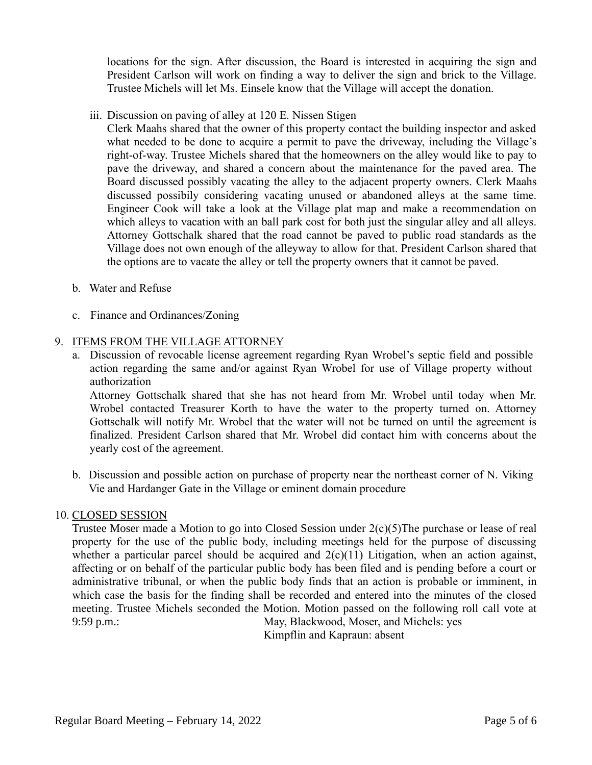locations for the sign. After discussion, the Board is interested in acquiring the sign and President Carlson will work on finding a way to deliver the sign and brick to the Village. Trustee Michels will let Ms. Einsele know that the Village will accept the donation.

iii. Discussion on paving of alley at 120 E. Nissen Stigen

Clerk Maahs shared that the owner of this property contact the building inspector and asked what needed to be done to acquire a permit to pave the driveway, including the Village's right-of-way. Trustee Michels shared that the homeowners on the alley would like to pay to pave the driveway, and shared a concern about the maintenance for the paved area. The Board discussed possibly vacating the alley to the adjacent property owners. Clerk Maahs discussed possibily considering vacating unused or abandoned alleys at the same time. Engineer Cook will take a look at the Village plat map and make a recommendation on which alleys to vacation with an ball park cost for both just the singular alley and all alleys. Attorney Gottschalk shared that the road cannot be paved to public road standards as the Village does not own enough of the alleyway to allow for that. President Carlson shared that the options are to vacate the alley or tell the property owners that it cannot be paved.

- b. Water and Refuse
- c. Finance and Ordinances/Zoning

## 9. ITEMS FROM THE VILLAGE ATTORNEY

a. Discussion of revocable license agreement regarding Ryan Wrobel's septic field and possible action regarding the same and/or against Ryan Wrobel for use of Village property without authorization

Attorney Gottschalk shared that she has not heard from Mr. Wrobel until today when Mr. Wrobel contacted Treasurer Korth to have the water to the property turned on. Attorney Gottschalk will notify Mr. Wrobel that the water will not be turned on until the agreement is finalized. President Carlson shared that Mr. Wrobel did contact him with concerns about the yearly cost of the agreement.

b. Discussion and possible action on purchase of property near the northeast corner of N. Viking Vie and Hardanger Gate in the Village or eminent domain procedure

## 10. CLOSED SESSION

Trustee Moser made a Motion to go into Closed Session under 2(c)(5)The purchase or lease of real property for the use of the public body, including meetings held for the purpose of discussing whether a particular parcel should be acquired and  $2(c)(11)$  Litigation, when an action against, affecting or on behalf of the particular public body has been filed and is pending before a court or administrative tribunal, or when the public body finds that an action is probable or imminent, in which case the basis for the finding shall be recorded and entered into the minutes of the closed meeting. Trustee Michels seconded the Motion. Motion passed on the following roll call vote at 9:59 p.m.: May, Blackwood, Moser, and Michels: yes

Kimpflin and Kapraun: absent